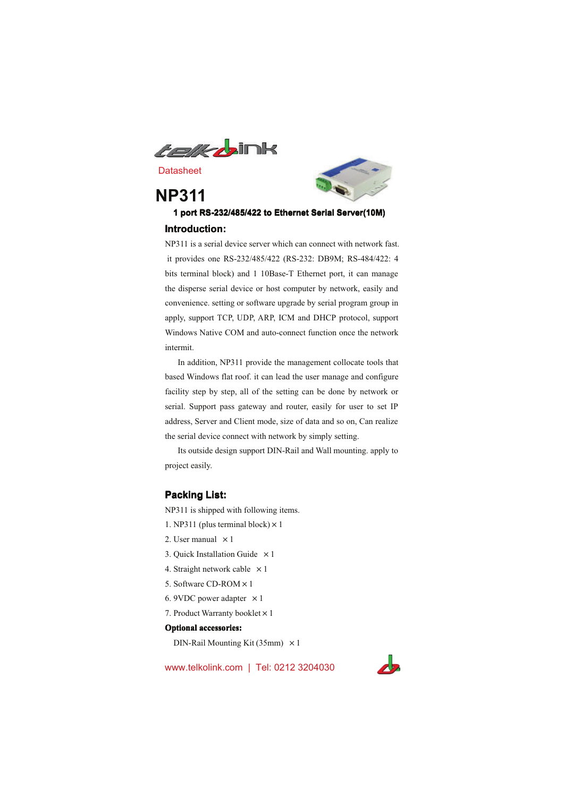

# **NP311**



## 1 port RS-232/485/422 to Ethernet Serial Server(10M) Introduction:

NP311 is a serial device server which can connect with network fast. it provides one RS-232/485/422 (RS-232: DB9M; RS-484/422: 4 bits terminal block) and 1 10Base-T Ethernet port, it can manage the disperse serial device or host computer by network, easily and convenience. setting or software upgrade by serial program group in apply, support TCP, UDP, ARP, ICM and DHCP protocol, support Windows Native COM and auto-connect function once the network intermit.

In addition, NP311 provide the management collocate tools that based Windows flat roof. it can lead the user manage and configure facility step by step, all of the setting can be done by network or serial. Support pass gateway and router, easily for user to set IP address, Server and Client mode, size of data and so on, Can realize the serial device connect with network by simply setting.

Its outside design support DIN-Rail and Wall mounting, apply to project easily.

#### **Packing List:**

NP311 is shipped with following items.

- 1. NP311 (plus terminal block)  $\times$  1
- 2. User manual  $\times$  1
- 3. Quick Installation Guide  $\times$  1
- 4. Straight network cable  $\times 1$
- 5. Software CD-ROM × 1
- 6. 9VDC power adapter  $\times 1$
- 7. Product Warranty booklet × 1

#### **Optional accessories:**

DIN-Rail Mounting Kit (35mm)  $\times$  1

www.telkolink.com | Tel: 0212 3204030

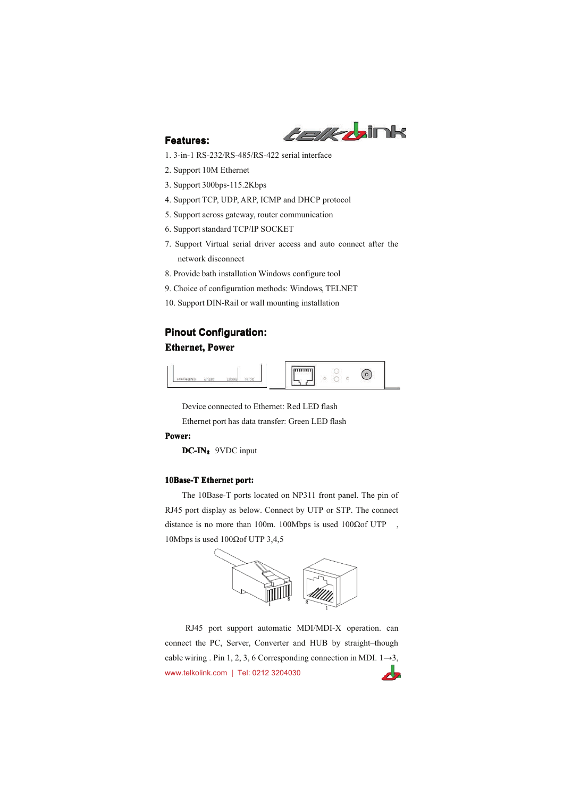

## **Features:**

- 1. 3-in-1 RS-232/RS-485/RS-422 serial interface
- 2. Support 10M Ethernet
- 3. Support 300bps-115.2Kbps
- 4. Support TCP, UDP, ARP, ICMP and DHCP protocol
- 5. Support across gateway, router communication
- 6. Support standard TCP/IP SOCKET
- 7. Support Virtual serial driver access and auto connect after the network disconnect
- 8. Provide bath installation Windows configure tool
- 9. Choice of configuration methods: Windows, TELNET
- 10. Support DIN-Rail or wall mounting installation

## **Pinout Configuration: Ethernet, Power**



Device connected to Ethernet: Red LED flash

Ethernet port has data transfer: Green LED flash

#### Power:

DC-IN: 9VDC input

#### 10Base-T Ethernet port:

The 10Base-T ports located on NP311 front panel. The pin of RJ45 port display as below. Connect by UTP or STP. The connect distance is no more than 100m. 100Mbps is used 100 $\Omega$ of UTP, 10Mbps is used 100 $\Omega$ of UTP 3,4,5



RJ45 port support automatic MDI/MDI-X operation. can connect the PC, Server, Converter and HUB by straight-though cable wiring . Pin 1, 2, 3, 6 Corresponding connection in MDI.  $1\rightarrow 3$ , www.telkolink.com | Tel: 0212 3204030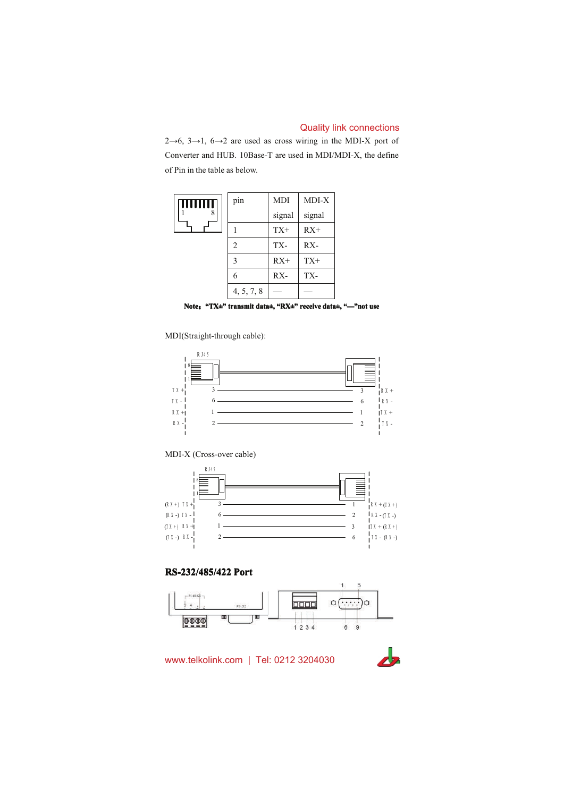$2\rightarrow 6$ ,  $3\rightarrow 1$ ,  $6\rightarrow 2$  are used as cross wiring in the MDI-X port of Converter and HUB. 10Base-T are used in MDI/MDI-X, the define of Pin in the table as below.



Note: "TX±" transmit data±, "RX±" receive data±, "-"not use

MDI(Straight-through cable):



MDI-X (Cross-over cable)



## RS-232/485/422 Port



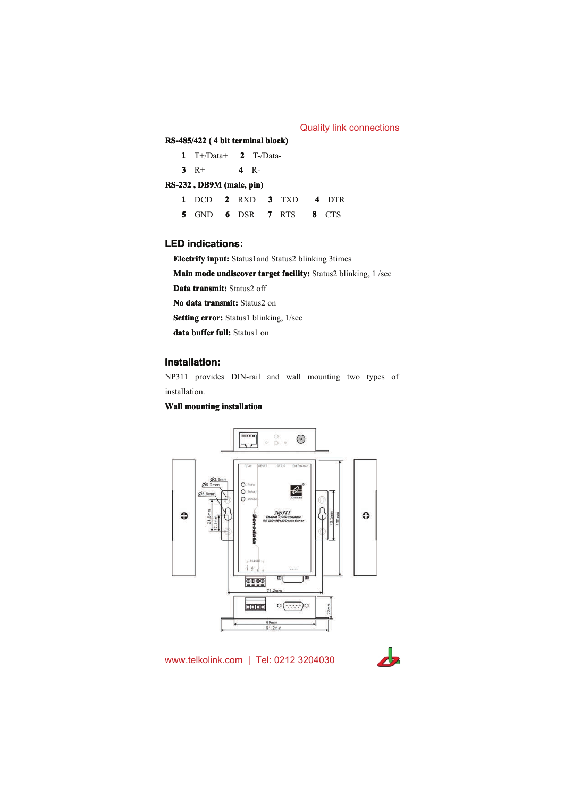## RS-485/422 (4 bit terminal block)

|                          | $1$ T+/Data+ |  | $2$ T-/Data- |  |  |  |  |
|--------------------------|--------------|--|--------------|--|--|--|--|
|                          | $3 \t R+$    |  | 4 R-         |  |  |  |  |
| RS-232, DB9M (male, pin) |              |  |              |  |  |  |  |

| 1 DCD 2 RXD 3 TXD 4 DTR |  |  |  |
|-------------------------|--|--|--|
| 5 GND 6 DSR 7 RTS 8 CTS |  |  |  |

## **LED** indications:

Electrify input: Status1and Status2 blinking 3times

Main mode undiscover target facility: Status2 blinking, 1/sec

Data transmit: Status2 off

No data transmit: Status2 on

**Setting error:** Status1 blinking, 1/sec

data buffer full: Status1 on

## **Installation:**

NP311 provides DIN-rail and wall mounting two types of installation.

#### **Wall mounting installation**



www.telkolink.com | Tel: 0212 3204030

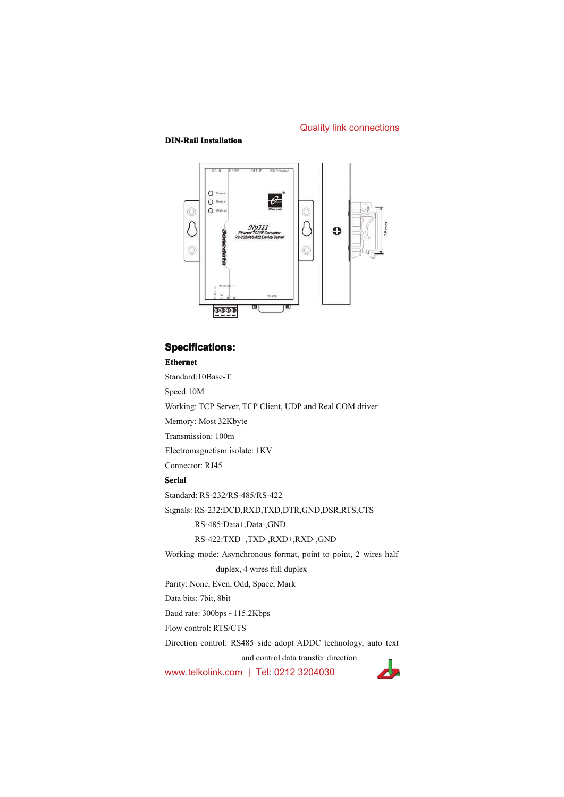#### **DIN-Rail Installation**



## **Specifications: Ethernet**

Standard:10Base-T Speed:10M Working: TCP Server, TCP Client, UDP and Real COM driver Memory: Most 32Kbyte Transmission: 100m Electromagnetism isolate: 1KV Connector: RJ45 **Serial** Standard: RS-232/RS-485/RS-422 Signals: RS-232:DCD,RXD,TXD,DTR,GND,DSR,RTS,CTS RS-485:Data+,Data-,GND RS-422:TXD+,TXD-,RXD+,RXD-,GND Working mode: Asynchronous format, point to point, 2 wires half duplex, 4 wires full duplex Parity: None, Even, Odd, Space, Mark Data bits: 7bit, 8bit Baud rate: 300bps ~115.2Kbps Flow control: RTS/CTS Direction control: RS485 side adopt ADDC technology, auto text and control data transfer direction

www.telkolink.com | Tel: 0212 3204030